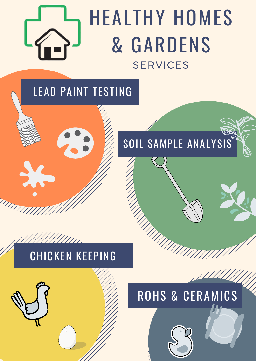## HEALTHY HOMES & GARDENS SERVICES

## SOIL SAMPLE ANALYSIS

MUUTO

### LEAD PAINT TESTING

## ROHS & CERAMICS

## CHICKEN KEEPING

//////////

THITI !!